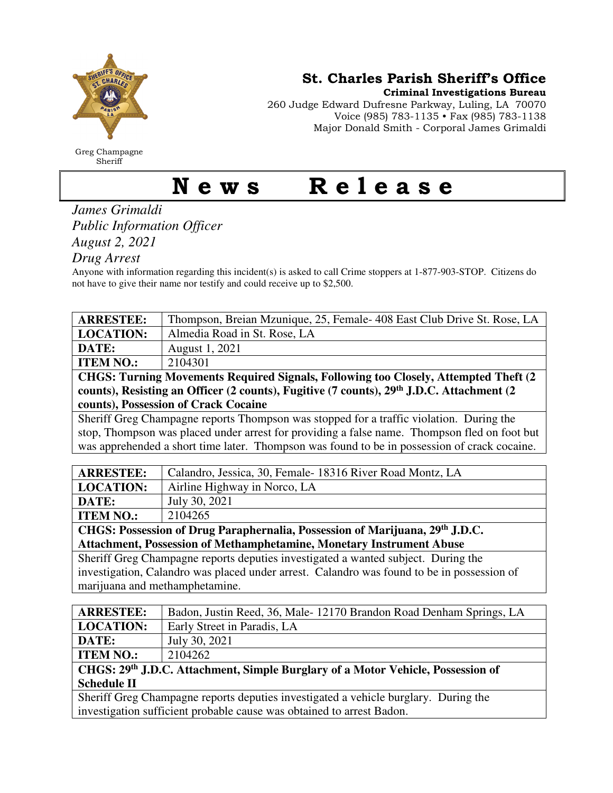

Greg Champagne Sheriff

St. Charles Parish Sheriff's Office

Criminal Investigations Bureau

260 Judge Edward Dufresne Parkway, Luling, LA 70070 Voice (985) 783-1135 • Fax (985) 783-1138 Major Donald Smith - Corporal James Grimaldi

## News Release

*James Grimaldi Public Information Officer August 2, 2021* 

*Drug Arrest* 

Anyone with information regarding this incident(s) is asked to call Crime stoppers at 1-877-903-STOP. Citizens do not have to give their name nor testify and could receive up to \$2,500.

| <b>ARRESTEE:</b>                                                                                     | Thompson, Breian Mzunique, 25, Female-408 East Club Drive St. Rose, LA |
|------------------------------------------------------------------------------------------------------|------------------------------------------------------------------------|
| <b>LOCATION:</b>                                                                                     | Almedia Road in St. Rose, LA                                           |
| DATE:                                                                                                | August 1, 2021                                                         |
| <b>ITEM NO.:</b>                                                                                     | 2104301                                                                |
| CHGS: Turning Movements Required Signals, Following too Closely, Attempted Theft (2)                 |                                                                        |
| counts), Resisting an Officer (2 counts), Fugitive (7 counts), 29 <sup>th</sup> J.D.C. Attachment (2 |                                                                        |
| counts), Possession of Crack Cocaine                                                                 |                                                                        |
| Sheriff Greg Champagne reports Thompson was stopped for a traffic violation. During the              |                                                                        |
| stop, Thompson was placed under arrest for providing a false name. Thompson fled on foot but         |                                                                        |
| was apprehended a short time later. Thompson was found to be in possession of crack cocaine.         |                                                                        |
|                                                                                                      |                                                                        |
| <b>ARRESTEE:</b>                                                                                     | Calandro, Jessica, 30, Female - 18316 River Road Montz, LA             |
| I OCATION.                                                                                           | $\lambda$ isling Highway in Mason I $\lambda$                          |

| <b>LOCATION:</b>                                                                           | Airline Highway in Norco, LA |  |
|--------------------------------------------------------------------------------------------|------------------------------|--|
| DATE:                                                                                      | July 30, 2021                |  |
| <b>ITEM NO.:</b>                                                                           | 2104265                      |  |
| CHGS: Possession of Drug Paraphernalia, Possession of Marijuana, 29th J.D.C.               |                              |  |
| <b>Attachment, Possession of Methamphetamine, Monetary Instrument Abuse</b>                |                              |  |
| Sheriff Greg Champagne reports deputies investigated a wanted subject. During the          |                              |  |
| investigation, Calandro was placed under arrest. Calandro was found to be in possession of |                              |  |

marijuana and methamphetamine.

| <b>ARRESTEE:</b>                                                                | Badon, Justin Reed, 36, Male-12170 Brandon Road Denham Springs, LA |
|---------------------------------------------------------------------------------|--------------------------------------------------------------------|
| <b>LOCATION:</b>                                                                | Early Street in Paradis, LA                                        |
| DATE:                                                                           | July 30, 2021                                                      |
| <b>ITEM NO.:</b>                                                                | 2104262                                                            |
| CHGS: 29th J.D.C. Attachment, Simple Burglary of a Motor Vehicle, Possession of |                                                                    |
| <b>Schedule II</b>                                                              |                                                                    |

Sheriff Greg Champagne reports deputies investigated a vehicle burglary. During the investigation sufficient probable cause was obtained to arrest Badon.